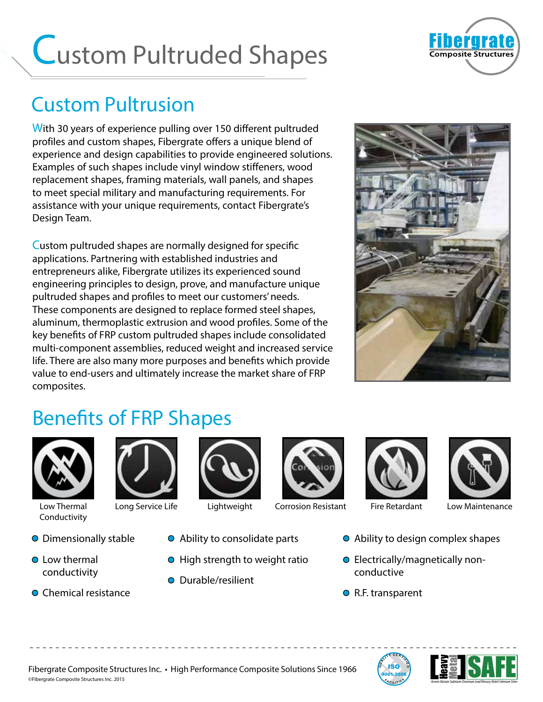# Custom Pultruded Shapes



#### Custom Pultrusion

With 30 years of experience pulling over 150 different pultruded profiles and custom shapes, Fibergrate offers a unique blend of experience and design capabilities to provide engineered solutions. Examples of such shapes include vinyl window stiffeners, wood replacement shapes, framing materials, wall panels, and shapes to meet special military and manufacturing requirements. For assistance with your unique requirements, contact Fibergrate's Design Team.

Custom pultruded shapes are normally designed for specific applications. Partnering with established industries and entrepreneurs alike, Fibergrate utilizes its experienced sound engineering principles to design, prove, and manufacture unique pultruded shapes and profiles to meet our customers' needs. These components are designed to replace formed steel shapes, aluminum, thermoplastic extrusion and wood profiles. Some of the key benefits of FRP custom pultruded shapes include consolidated multi-component assemblies, reduced weight and increased service life. There are also many more purposes and benefits which provide value to end-users and ultimately increase the market share of FRP composites.



#### Benefits of FRP Shapes



Conductivity

- Dimensionally stable
- **Q** Low thermal conductivity
- **O** Chemical resistance



- Ability to consolidate parts
- $\bullet$  High strength to weight ratio

- - - - - - - - - - - - - - - - - - - - - - - - - - - - - - - - - - - - - - - - - - - - - - - - - - - - - - - - - - - - - - - - - - - - - - - - - - - -

● Durable/resilient







Low Thermal Long Service Life Lightweight Low Maintenance Corrosion Resistant Fire Retardant

- Ability to design complex shapes
- Electrically/magnetically nonconductive
- R.F. transparent